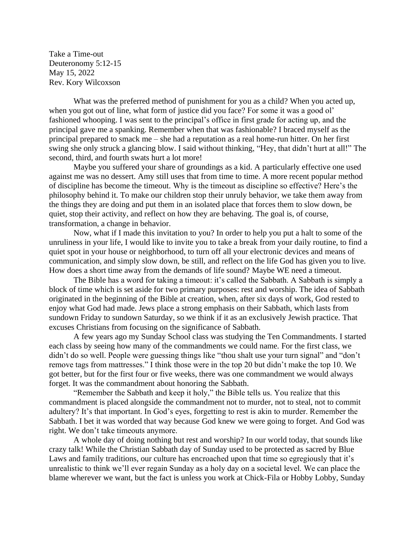Take a Time-out Deuteronomy 5:12-15 May 15, 2022 Rev. Kory Wilcoxson

What was the preferred method of punishment for you as a child? When you acted up, when you got out of line, what form of justice did you face? For some it was a good ol' fashioned whooping. I was sent to the principal's office in first grade for acting up, and the principal gave me a spanking. Remember when that was fashionable? I braced myself as the principal prepared to smack me – she had a reputation as a real home-run hitter. On her first swing she only struck a glancing blow. I said without thinking, "Hey, that didn't hurt at all!" The second, third, and fourth swats hurt a lot more!

Maybe you suffered your share of groundings as a kid. A particularly effective one used against me was no dessert. Amy still uses that from time to time. A more recent popular method of discipline has become the timeout. Why is the timeout as discipline so effective? Here's the philosophy behind it. To make our children stop their unruly behavior, we take them away from the things they are doing and put them in an isolated place that forces them to slow down, be quiet, stop their activity, and reflect on how they are behaving. The goal is, of course, transformation, a change in behavior.

Now, what if I made this invitation to you? In order to help you put a halt to some of the unruliness in your life, I would like to invite you to take a break from your daily routine, to find a quiet spot in your house or neighborhood, to turn off all your electronic devices and means of communication, and simply slow down, be still, and reflect on the life God has given you to live. How does a short time away from the demands of life sound? Maybe WE need a timeout.

The Bible has a word for taking a timeout: it's called the Sabbath. A Sabbath is simply a block of time which is set aside for two primary purposes: rest and worship. The idea of Sabbath originated in the beginning of the Bible at creation, when, after six days of work, God rested to enjoy what God had made. Jews place a strong emphasis on their Sabbath, which lasts from sundown Friday to sundown Saturday, so we think if it as an exclusively Jewish practice. That excuses Christians from focusing on the significance of Sabbath.

A few years ago my Sunday School class was studying the Ten Commandments. I started each class by seeing how many of the commandments we could name. For the first class, we didn't do so well. People were guessing things like "thou shalt use your turn signal" and "don't remove tags from mattresses." I think those were in the top 20 but didn't make the top 10. We got better, but for the first four or five weeks, there was one commandment we would always forget. It was the commandment about honoring the Sabbath.

"Remember the Sabbath and keep it holy," the Bible tells us. You realize that this commandment is placed alongside the commandment not to murder, not to steal, not to commit adultery? It's that important. In God's eyes, forgetting to rest is akin to murder. Remember the Sabbath. I bet it was worded that way because God knew we were going to forget. And God was right. We don't take timeouts anymore.

A whole day of doing nothing but rest and worship? In our world today, that sounds like crazy talk! While the Christian Sabbath day of Sunday used to be protected as sacred by Blue Laws and family traditions, our culture has encroached upon that time so egregiously that it's unrealistic to think we'll ever regain Sunday as a holy day on a societal level. We can place the blame wherever we want, but the fact is unless you work at Chick-Fila or Hobby Lobby, Sunday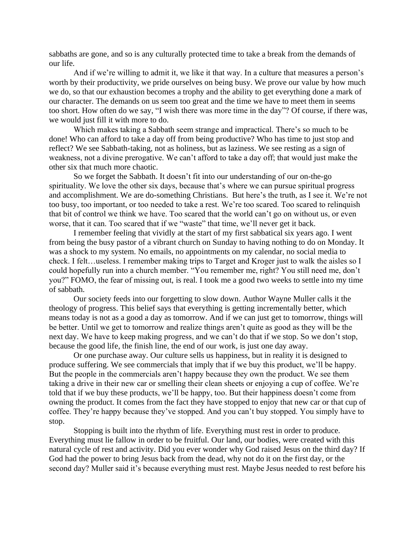sabbaths are gone, and so is any culturally protected time to take a break from the demands of our life.

And if we're willing to admit it, we like it that way. In a culture that measures a person's worth by their productivity, we pride ourselves on being busy. We prove our value by how much we do, so that our exhaustion becomes a trophy and the ability to get everything done a mark of our character. The demands on us seem too great and the time we have to meet them in seems too short. How often do we say, "I wish there was more time in the day"? Of course, if there was, we would just fill it with more to do.

Which makes taking a Sabbath seem strange and impractical. There's so much to be done! Who can afford to take a day off from being productive? Who has time to just stop and reflect? We see Sabbath-taking, not as holiness, but as laziness. We see resting as a sign of weakness, not a divine prerogative. We can't afford to take a day off; that would just make the other six that much more chaotic.

So we forget the Sabbath. It doesn't fit into our understanding of our on-the-go spirituality. We love the other six days, because that's where we can pursue spiritual progress and accomplishment. We are do-something Christians. But here's the truth, as I see it. We're not too busy, too important, or too needed to take a rest. We're too scared. Too scared to relinquish that bit of control we think we have. Too scared that the world can't go on without us, or even worse, that it can. Too scared that if we "waste" that time, we'll never get it back.

I remember feeling that vividly at the start of my first sabbatical six years ago. I went from being the busy pastor of a vibrant church on Sunday to having nothing to do on Monday. It was a shock to my system. No emails, no appointments on my calendar, no social media to check. I felt…useless. I remember making trips to Target and Kroger just to walk the aisles so I could hopefully run into a church member. "You remember me, right? You still need me, don't you?" FOMO, the fear of missing out, is real. I took me a good two weeks to settle into my time of sabbath.

Our society feeds into our forgetting to slow down. Author Wayne Muller calls it the theology of progress. This belief says that everything is getting incrementally better, which means today is not as a good a day as tomorrow. And if we can just get to tomorrow, things will be better. Until we get to tomorrow and realize things aren't quite as good as they will be the next day. We have to keep making progress, and we can't do that if we stop. So we don't stop, because the good life, the finish line, the end of our work, is just one day away.

Or one purchase away. Our culture sells us happiness, but in reality it is designed to produce suffering. We see commercials that imply that if we buy this product, we'll be happy. But the people in the commercials aren't happy because they own the product. We see them taking a drive in their new car or smelling their clean sheets or enjoying a cup of coffee. We're told that if we buy these products, we'll be happy, too. But their happiness doesn't come from owning the product. It comes from the fact they have stopped to enjoy that new car or that cup of coffee. They're happy because they've stopped. And you can't buy stopped. You simply have to stop.

Stopping is built into the rhythm of life. Everything must rest in order to produce. Everything must lie fallow in order to be fruitful. Our land, our bodies, were created with this natural cycle of rest and activity. Did you ever wonder why God raised Jesus on the third day? If God had the power to bring Jesus back from the dead, why not do it on the first day, or the second day? Muller said it's because everything must rest. Maybe Jesus needed to rest before his